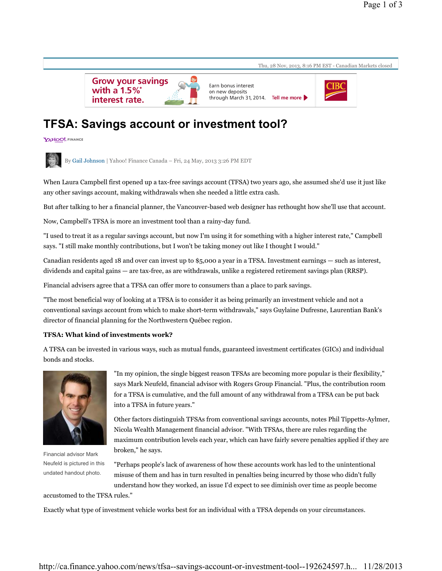**Grow your savings** with a 1.5%\*



Earn bonus interest on new deposits through March 31, 2014. Tell me more



Thu, 28 Nov, 2013, 8:16 PM EST - Canadian Markets closed

## **TFSA: Savings account or investment tool?**

YAHOO! FINANCE



By Gail Johnson | Yahoo! Finance Canada – Fri, 24 May, 2013 3:26 PM EDT

When Laura Campbell first opened up a tax-free savings account (TFSA) two years ago, she assumed she'd use it just like any other savings account, making withdrawals when she needed a little extra cash.

But after talking to her a financial planner, the Vancouver-based web designer has rethought how she'll use that account.

Now, Campbell's TFSA is more an investment tool than a rainy-day fund.

"I used to treat it as a regular savings account, but now I'm using it for something with a higher interest rate," Campbell says. "I still make monthly contributions, but I won't be taking money out like I thought I would."

Canadian residents aged 18 and over can invest up to \$5,000 a year in a TFSA. Investment earnings — such as interest, dividends and capital gains — are tax-free, as are withdrawals, unlike a registered retirement savings plan (RRSP).

Financial advisers agree that a TFSA can offer more to consumers than a place to park savings.

"The most beneficial way of looking at a TFSA is to consider it as being primarily an investment vehicle and not a conventional savings account from which to make short-term withdrawals," says Guylaine Dufresne, Laurentian Bank's director of financial planning for the Northwestern Québec region.

## **TFSA: What kind of investments work?**

A TFSA can be invested in various ways, such as mutual funds, guaranteed investment certificates (GICs) and individual bonds and stocks.



Financial advisor Mark Neufeld is pictured in this undated handout photo.

"In my opinion, the single biggest reason TFSAs are becoming more popular is their flexibility," says Mark Neufeld, financial advisor with Rogers Group Financial. "Plus, the contribution room for a TFSA is cumulative, and the full amount of any withdrawal from a TFSA can be put back into a TFSA in future years."

Other factors distinguish TFSAs from conventional savings accounts, notes Phil Tippetts-Aylmer, Nicola Wealth Management financial advisor. "With TFSAs, there are rules regarding the maximum contribution levels each year, which can have fairly severe penalties applied if they are broken," he says.

"Perhaps people's lack of awareness of how these accounts work has led to the unintentional misuse of them and has in turn resulted in penalties being incurred by those who didn't fully understand how they worked, an issue I'd expect to see diminish over time as people become

accustomed to the TFSA rules."

Exactly what type of investment vehicle works best for an individual with a TFSA depends on your circumstances.